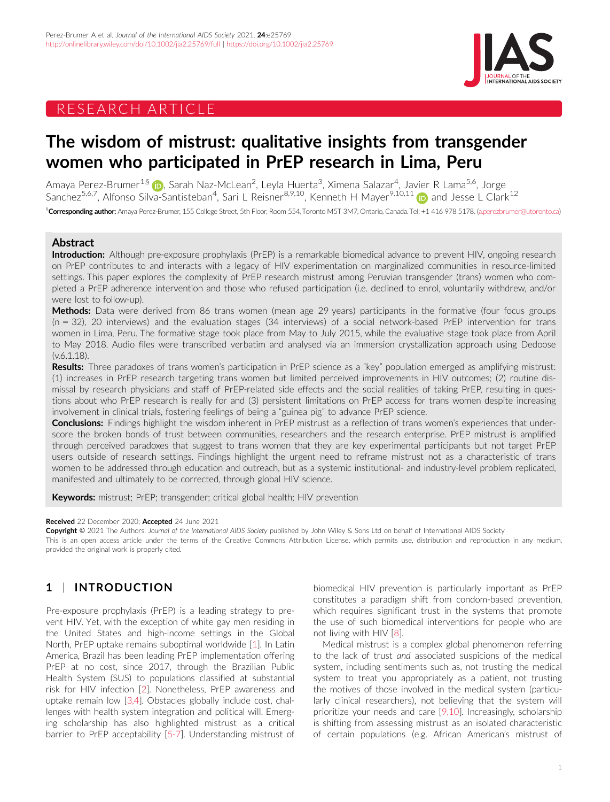# RESEARCH ARTICLE



# The wisdom of mistrust: qualitative insights from transgender women who participated in PrEP research in Lima, Peru

Amaya Perez-Brumer<sup>1,§</sup> (**p**), Sarah Naz-McLean<sup>2</sup>, Leyla Huerta<sup>3</sup>, Ximena Salazar<sup>4</sup>, Javier R Lama<sup>5,6</sup>, Jorge Sanchez<sup>5,6,7</sup>, Alfonso Silva-Santisteban<sup>4</sup>, Sari L Reisner<sup>8,9,[1](https://orcid.org/0000-0001-7460-733X)0</sup>, Kenneth H Mayer<sup>9,10,11</sup> iD and Jesse L Clark<sup>12</sup>

§**Corresponding author:** Amaya Perez-Brumer, 155 College Street, 5th Floor, Room 554, Toronto M5T 3M7, Ontario, Canada. Tel: +1 416 978 5178. [\(a.perezbrumer@utoronto.ca\)](mailto:a.perezbrumer@utoronto.ca)

#### Abstract

Introduction: Although pre-exposure prophylaxis (PrEP) is a remarkable biomedical advance to prevent HIV, ongoing research on PrEP contributes to and interacts with a legacy of HIV experimentation on marginalized communities in resource-limited settings. This paper explores the complexity of PrEP research mistrust among Peruvian transgender (trans) women who completed a PrEP adherence intervention and those who refused participation (i.e. declined to enrol, voluntarily withdrew, and/or were lost to follow-up).

Methods: Data were derived from 86 trans women (mean age 29 years) participants in the formative (four focus groups (n = 32), 20 interviews) and the evaluation stages (34 interviews) of a social network-based PrEP intervention for trans women in Lima, Peru. The formative stage took place from May to July 2015, while the evaluative stage took place from April to May 2018. Audio files were transcribed verbatim and analysed via an immersion crystallization approach using Dedoose (v.6.1.18).

Results: Three paradoxes of trans women's participation in PrEP science as a "key" population emerged as amplifying mistrust: (1) increases in PrEP research targeting trans women but limited perceived improvements in HIV outcomes; (2) routine dismissal by research physicians and staff of PrEP-related side effects and the social realities of taking PrEP, resulting in questions about who PrEP research is really for and (3) persistent limitations on PrEP access for trans women despite increasing involvement in clinical trials, fostering feelings of being a "guinea pig" to advance PrEP science.

Conclusions: Findings highlight the wisdom inherent in PrEP mistrust as a reflection of trans women's experiences that underscore the broken bonds of trust between communities, researchers and the research enterprise. PrEP mistrust is amplified through perceived paradoxes that suggest to trans women that they are key experimental participants but not target PrEP users outside of research settings. Findings highlight the urgent need to reframe mistrust not as a characteristic of trans women to be addressed through education and outreach, but as a systemic institutional- and industry-level problem replicated, manifested and ultimately to be corrected, through global HIV science.

Keywords: mistrust; PrEP; transgender; critical global health; HIV prevention

#### Received 22 December 2020; Accepted 24 June 2021

Copyright © 2021 The Authors. Journal of the International AIDS Society published by John Wiley & Sons Ltd on behalf of International AIDS Society This is an open access article under the terms of the [Creative Commons Attribution](http://creativecommons.org/licenses/by/4.0/) License, which permits use, distribution and reproduction in any medium, provided the original work is properly cited.

### 1 | INTRODUCTION

Pre-exposure prophylaxis (PrEP) is a leading strategy to prevent HIV. Yet, with the exception of white gay men residing in the United States and high-income settings in the Global North, PrEP uptake remains suboptimal worldwide [\[1](#page-5-0)]. In Latin America, Brazil has been leading PrEP implementation offering PrEP at no cost, since 2017, through the Brazilian Public Health System (SUS) to populations classified at substantial risk for HIV infection [[2](#page-5-0)]. Nonetheless, PrEP awareness and uptake remain low [[3,4\]](#page-5-0). Obstacles globally include cost, challenges with health system integration and political will. Emerging scholarship has also highlighted mistrust as a critical barrier to PrEP acceptability [\[5-7\]](#page-5-0). Understanding mistrust of biomedical HIV prevention is particularly important as PrEP constitutes a paradigm shift from condom-based prevention, which requires significant trust in the systems that promote the use of such biomedical interventions for people who are not living with HIV [[8\]](#page-5-0).

Medical mistrust is a complex global phenomenon referring to the lack of trust and associated suspicions of the medical system, including sentiments such as, not trusting the medical system to treat you appropriately as a patient, not trusting the motives of those involved in the medical system (particularly clinical researchers), not believing that the system will prioritize your needs and care [\[9,10](#page-5-0)]. Increasingly, scholarship is shifting from assessing mistrust as an isolated characteristic of certain populations (e.g. African American's mistrust of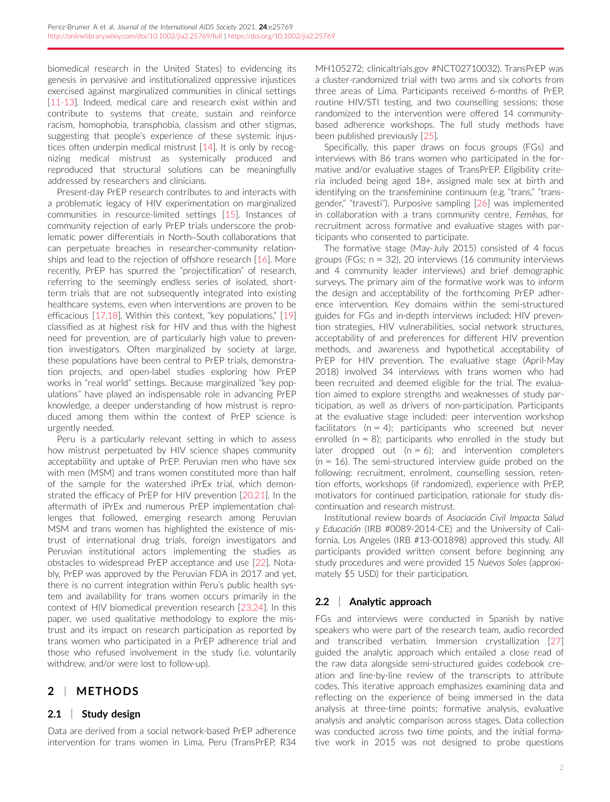biomedical research in the United States) to evidencing its genesis in pervasive and institutionalized oppressive injustices exercised against marginalized communities in clinical settings [\[11-13\]](#page-5-0). Indeed, medical care and research exist within and contribute to systems that create, sustain and reinforce racism, homophobia, transphobia, classism and other stigmas, suggesting that people's experience of these systemic injustices often underpin medical mistrust [[14\]](#page-5-0). It is only by recognizing medical mistrust as systemically produced and reproduced that structural solutions can be meaningfully addressed by researchers and clinicians.

Present-day PrEP research contributes to and interacts with a problematic legacy of HIV experimentation on marginalized communities in resource-limited settings [[15\]](#page-5-0). Instances of community rejection of early PrEP trials underscore the problematic power differentials in North–South collaborations that can perpetuate breaches in researcher-community relationships and lead to the rejection of offshore research [[16](#page-5-0)]. More recently, PrEP has spurred the "projectification" of research, referring to the seemingly endless series of isolated, shortterm trials that are not subsequently integrated into existing healthcare systems, even when interventions are proven to be efficacious [[17,18](#page-5-0)]. Within this context, "key populations," [\[19\]](#page-5-0) classified as at highest risk for HIV and thus with the highest need for prevention, are of particularly high value to prevention investigators. Often marginalized by society at large, these populations have been central to PrEP trials, demonstration projects, and open-label studies exploring how PrEP works in "real world" settings. Because marginalized "key populations" have played an indispensable role in advancing PrEP knowledge, a deeper understanding of how mistrust is reproduced among them within the context of PrEP science is urgently needed.

Peru is a particularly relevant setting in which to assess how mistrust perpetuated by HIV science shapes community acceptability and uptake of PrEP. Peruvian men who have sex with men (MSM) and trans women constituted more than half of the sample for the watershed iPrEx trial, which demonstrated the efficacy of PrEP for HIV prevention [[20,21\]](#page-5-0). In the aftermath of iPrEx and numerous PrEP implementation challenges that followed, emerging research among Peruvian MSM and trans women has highlighted the existence of mistrust of international drug trials, foreign investigators and Peruvian institutional actors implementing the studies as obstacles to widespread PrEP acceptance and use [\[22\]](#page-5-0). Notably, PrEP was approved by the Peruvian FDA in 2017 and yet, there is no current integration within Peru's public health system and availability for trans women occurs primarily in the context of HIV biomedical prevention research [[23,24](#page-5-0)]. In this paper, we used qualitative methodology to explore the mistrust and its impact on research participation as reported by trans women who participated in a PrEP adherence trial and those who refused involvement in the study (i.e. voluntarily withdrew, and/or were lost to follow-up).

### 2 | METHODS

### 2.1 | Study design

Data are derived from a social network-based PrEP adherence intervention for trans women in Lima, Peru (TransPrEP, R34 MH105272; clinicaltrials.gov #NCT02710032). TransPrEP was a cluster-randomized trial with two arms and six cohorts from three areas of Lima. Participants received 6-months of PrEP, routine HIV/STI testing, and two counselling sessions; those randomized to the intervention were offered 14 communitybased adherence workshops. The full study methods have been published previously [[25\]](#page-5-0).

Specifically, this paper draws on focus groups (FGs) and interviews with 86 trans women who participated in the formative and/or evaluative stages of TransPrEP. Eligibility criteria included being aged 18+, assigned male sex at birth and identifying on the transfeminine continuum (e.g. "trans," "transgender," "travesti"). Purposive sampling [[26\]](#page-5-0) was implemented in collaboration with a trans community centre, Femínas, for recruitment across formative and evaluative stages with participants who consented to participate.

The formative stage (May-July 2015) consisted of 4 focus groups (FGs; n = 32), 20 interviews (16 community interviews and 4 community leader interviews) and brief demographic surveys. The primary aim of the formative work was to inform the design and acceptability of the forthcoming PrEP adherence intervention. Key domains within the semi-structured guides for FGs and in-depth interviews included: HIV prevention strategies, HIV vulnerabilities, social network structures, acceptability of and preferences for different HIV prevention methods, and awareness and hypothetical acceptability of PrEP for HIV prevention. The evaluative stage (April-May 2018) involved 34 interviews with trans women who had been recruited and deemed eligible for the trial. The evaluation aimed to explore strengths and weaknesses of study participation, as well as drivers of non-participation. Participants at the evaluative stage included: peer intervention workshop facilitators  $(n = 4)$ ; participants who screened but never enrolled ( $n = 8$ ); participants who enrolled in the study but later dropped out  $(n = 6)$ ; and intervention completers  $(n = 16)$ . The semi-structured interview guide probed on the following: recruitment, enrolment, counselling session, retention efforts, workshops (if randomized), experience with PrEP, motivators for continued participation, rationale for study discontinuation and research mistrust.

Institutional review boards of Asociación Civil Impacta Salud y Educación (IRB #0089-2014-CE) and the University of California, Los Angeles (IRB #13-001898) approved this study. All participants provided written consent before beginning any study procedures and were provided 15 Nuevos Soles (approximately \$5 USD) for their participation.

### 2.2 | Analytic approach

FGs and interviews were conducted in Spanish by native speakers who were part of the research team, audio recorded and transcribed verbatim. Immersion crystallization [[27\]](#page-5-0) guided the analytic approach which entailed a close read of the raw data alongside semi-structured guides codebook creation and line-by-line review of the transcripts to attribute codes. This iterative approach emphasizes examining data and reflecting on the experience of being immersed in the data analysis at three-time points; formative analysis, evaluative analysis and analytic comparison across stages. Data collection was conducted across two time points, and the initial formative work in 2015 was not designed to probe questions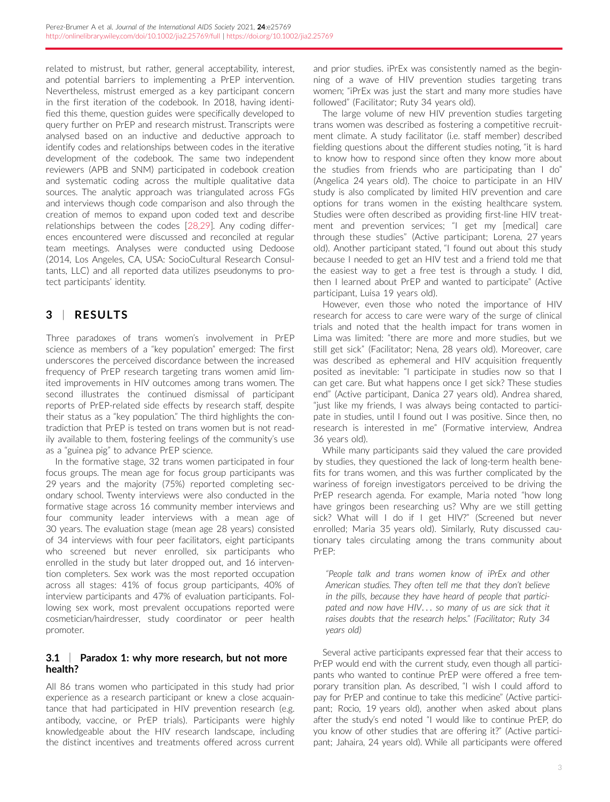related to mistrust, but rather, general acceptability, interest, and potential barriers to implementing a PrEP intervention. Nevertheless, mistrust emerged as a key participant concern in the first iteration of the codebook. In 2018, having identified this theme, question guides were specifically developed to query further on PrEP and research mistrust. Transcripts were analysed based on an inductive and deductive approach to identify codes and relationships between codes in the iterative development of the codebook. The same two independent reviewers (APB and SNM) participated in codebook creation and systematic coding across the multiple qualitative data sources. The analytic approach was triangulated across FGs and interviews though code comparison and also through the creation of memos to expand upon coded text and describe relationships between the codes [\[28,29](#page-5-0)]. Any coding differences encountered were discussed and reconciled at regular team meetings. Analyses were conducted using Dedoose (2014, Los Angeles, CA, USA: SocioCultural Research Consultants, LLC) and all reported data utilizes pseudonyms to protect participants' identity.

## 3 | RESULTS

Three paradoxes of trans women's involvement in PrEP science as members of a "key population" emerged: The first underscores the perceived discordance between the increased frequency of PrEP research targeting trans women amid limited improvements in HIV outcomes among trans women. The second illustrates the continued dismissal of participant reports of PrEP-related side effects by research staff, despite their status as a "key population." The third highlights the contradiction that PrEP is tested on trans women but is not readily available to them, fostering feelings of the community's use as a "guinea pig" to advance PrEP science.

In the formative stage, 32 trans women participated in four focus groups. The mean age for focus group participants was 29 years and the majority (75%) reported completing secondary school. Twenty interviews were also conducted in the formative stage across 16 community member interviews and four community leader interviews with a mean age of 30 years. The evaluation stage (mean age 28 years) consisted of 34 interviews with four peer facilitators, eight participants who screened but never enrolled, six participants who enrolled in the study but later dropped out, and 16 intervention completers. Sex work was the most reported occupation across all stages: 41% of focus group participants, 40% of interview participants and 47% of evaluation participants. Following sex work, most prevalent occupations reported were cosmetician/hairdresser, study coordinator or peer health promoter.

### 3.1 Paradox 1: why more research, but not more health?

All 86 trans women who participated in this study had prior experience as a research participant or knew a close acquaintance that had participated in HIV prevention research (e.g. antibody, vaccine, or PrEP trials). Participants were highly knowledgeable about the HIV research landscape, including the distinct incentives and treatments offered across current

and prior studies. iPrEx was consistently named as the beginning of a wave of HIV prevention studies targeting trans women; "iPrEx was just the start and many more studies have followed" (Facilitator; Ruty 34 years old).

The large volume of new HIV prevention studies targeting trans women was described as fostering a competitive recruitment climate. A study facilitator (i.e. staff member) described fielding questions about the different studies noting, "it is hard to know how to respond since often they know more about the studies from friends who are participating than I do" (Angelica 24 years old). The choice to participate in an HIV study is also complicated by limited HIV prevention and care options for trans women in the existing healthcare system. Studies were often described as providing first-line HIV treatment and prevention services; "I get my [medical] care through these studies" (Active participant; Lorena, 27 years old). Another participant stated, "I found out about this study because I needed to get an HIV test and a friend told me that the easiest way to get a free test is through a study. I did, then I learned about PrEP and wanted to participate" (Active participant, Luisa 19 years old).

However, even those who noted the importance of HIV research for access to care were wary of the surge of clinical trials and noted that the health impact for trans women in Lima was limited: "there are more and more studies, but we still get sick" (Facilitator; Nena, 28 years old). Moreover, care was described as ephemeral and HIV acquisition frequently posited as inevitable: "I participate in studies now so that I can get care. But what happens once I get sick? These studies end" (Active participant, Danica 27 years old). Andrea shared, "just like my friends, I was always being contacted to participate in studies, until I found out I was positive. Since then, no research is interested in me" (Formative interview, Andrea 36 years old).

While many participants said they valued the care provided by studies, they questioned the lack of long-term health benefits for trans women, and this was further complicated by the wariness of foreign investigators perceived to be driving the PrEP research agenda. For example, Maria noted "how long have gringos been researching us? Why are we still getting sick? What will I do if I get HIV?" (Screened but never enrolled; Maria 35 years old). Similarly, Ruty discussed cautionary tales circulating among the trans community about PrEP:

"People talk and trans women know of iPrEx and other American studies. They often tell me that they don't believe in the pills, because they have heard of people that participated and now have HIV... so many of us are sick that it raises doubts that the research helps." (Facilitator; Ruty 34 years old)

Several active participants expressed fear that their access to PrEP would end with the current study, even though all participants who wanted to continue PrEP were offered a free temporary transition plan. As described, "I wish I could afford to pay for PrEP and continue to take this medicine" (Active participant; Rocio, 19 years old), another when asked about plans after the study's end noted "I would like to continue PrEP, do you know of other studies that are offering it?" (Active participant; Jahaira, 24 years old). While all participants were offered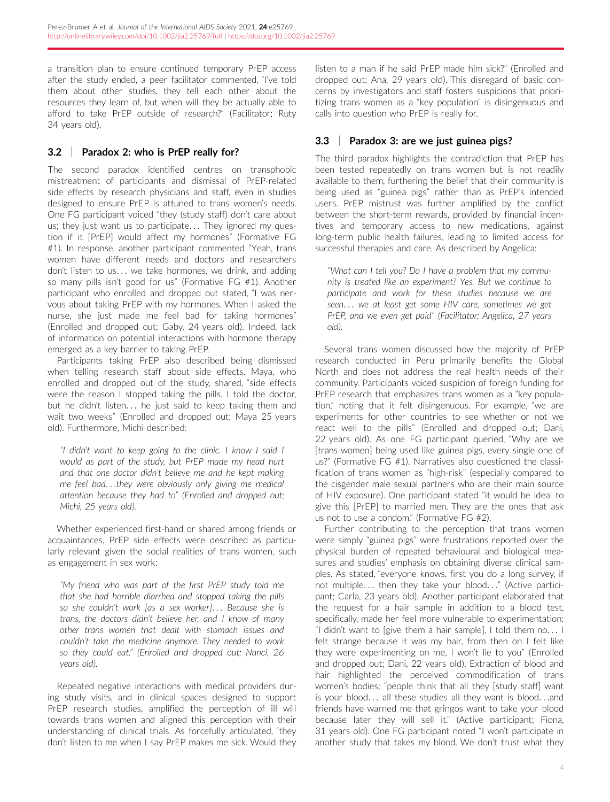a transition plan to ensure continued temporary PrEP access after the study ended, a peer facilitator commented, "I've told them about other studies, they tell each other about the resources they learn of, but when will they be actually able to afford to take PrEP outside of research?" (Facilitator; Ruty 34 years old).

### 3.2 | Paradox 2: who is PrEP really for?

The second paradox identified centres on transphobic mistreatment of participants and dismissal of PrEP-related side effects by research physicians and staff, even in studies designed to ensure PrEP is attuned to trans women's needs. One FG participant voiced "they (study staff) don't care about us; they just want us to participate... They ignored my question if it [PrEP] would affect my hormones" (Formative FG #1). In response, another participant commented "Yeah, trans women have different needs and doctors and researchers don't listen to us... we take hormones, we drink, and adding so many pills isn't good for us" (Formative FG #1). Another participant who enrolled and dropped out stated, "I was nervous about taking PrEP with my hormones. When I asked the nurse, she just made me feel bad for taking hormones" (Enrolled and dropped out; Gaby, 24 years old). Indeed, lack of information on potential interactions with hormone therapy emerged as a key barrier to taking PrEP.

Participants taking PrEP also described being dismissed when telling research staff about side effects. Maya, who enrolled and dropped out of the study, shared, "side effects were the reason I stopped taking the pills. I told the doctor, but he didn't listen... he just said to keep taking them and wait two weeks" (Enrolled and dropped out; Maya 25 years old). Furthermore, Michi described:

"I didn't want to keep going to the clinic. I know I said I would as part of the study, but PrEP made my head hurt and that one doctor didn't believe me and he kept making me feel bad...they were obviously only giving me medical attention because they had to" (Enrolled and dropped out; Michi, 25 years old).

Whether experienced first-hand or shared among friends or acquaintances, PrEP side effects were described as particularly relevant given the social realities of trans women, such as engagement in sex work:

"My friend who was part of the first PrEP study told me that she had horrible diarrhea and stopped taking the pills so she couldn't work [as a sex worker]... Because she is trans, the doctors didn't believe her, and I know of many other trans women that dealt with stomach issues and couldn't take the medicine anymore. They needed to work so they could eat." (Enrolled and dropped out; Nanci, 26 years old).

Repeated negative interactions with medical providers during study visits, and in clinical spaces designed to support PrEP research studies, amplified the perception of ill will towards trans women and aligned this perception with their understanding of clinical trials. As forcefully articulated, "they don't listen to me when I say PrEP makes me sick. Would they listen to a man if he said PrEP made him sick?" (Enrolled and dropped out; Ana, 29 years old). This disregard of basic concerns by investigators and staff fosters suspicions that prioritizing trans women as a "key population" is disingenuous and calls into question who PrEP is really for.

### 3.3 | Paradox 3: are we just guinea pigs?

The third paradox highlights the contradiction that PrEP has been tested repeatedly on trans women but is not readily available to them, furthering the belief that their community is being used as "guinea pigs" rather than as PrEP's intended users. PrEP mistrust was further amplified by the conflict between the short-term rewards, provided by financial incentives and temporary access to new medications, against long-term public health failures, leading to limited access for successful therapies and care. As described by Angelica:

"What can I tell you? Do I have a problem that my community is treated like an experiment? Yes. But we continue to participate and work for these studies because we are seen... we at least get some HIV care, sometimes we get PrEP, and we even get paid" (Facilitator; Angelica, 27 years old).

Several trans women discussed how the majority of PrEP research conducted in Peru primarily benefits the Global North and does not address the real health needs of their community. Participants voiced suspicion of foreign funding for PrEP research that emphasizes trans women as a "key population," noting that it felt disingenuous. For example, "we are experiments for other countries to see whether or not we react well to the pills" (Enrolled and dropped out; Dani, 22 years old). As one FG participant queried, "Why are we [trans women] being used like guinea pigs, every single one of us?" (Formative FG #1). Narratives also questioned the classification of trans women as "high-risk" (especially compared to the cisgender male sexual partners who are their main source of HIV exposure). One participant stated "it would be ideal to give this [PrEP] to married men. They are the ones that ask us not to use a condom." (Formative FG #2).

Further contributing to the perception that trans women were simply "guinea pigs" were frustrations reported over the physical burden of repeated behavioural and biological measures and studies' emphasis on obtaining diverse clinical samples. As stated, "everyone knows, first you do a long survey, if not multiple... then they take your blood..." (Active participant; Carla, 23 years old). Another participant elaborated that the request for a hair sample in addition to a blood test, specifically, made her feel more vulnerable to experimentation: "I didn't want to [give them a hair sample], I told them no... I felt strange because it was my hair, from then on I felt like they were experimenting on me, I won't lie to you" (Enrolled and dropped out; Dani, 22 years old). Extraction of blood and hair highlighted the perceived commodification of trans women's bodies; "people think that all they [study staff] want is your blood... all these studies all they want is blood...and friends have warned me that gringos want to take your blood because later they will sell it." (Active participant; Fiona, 31 years old). One FG participant noted "I won't participate in another study that takes my blood. We don't trust what they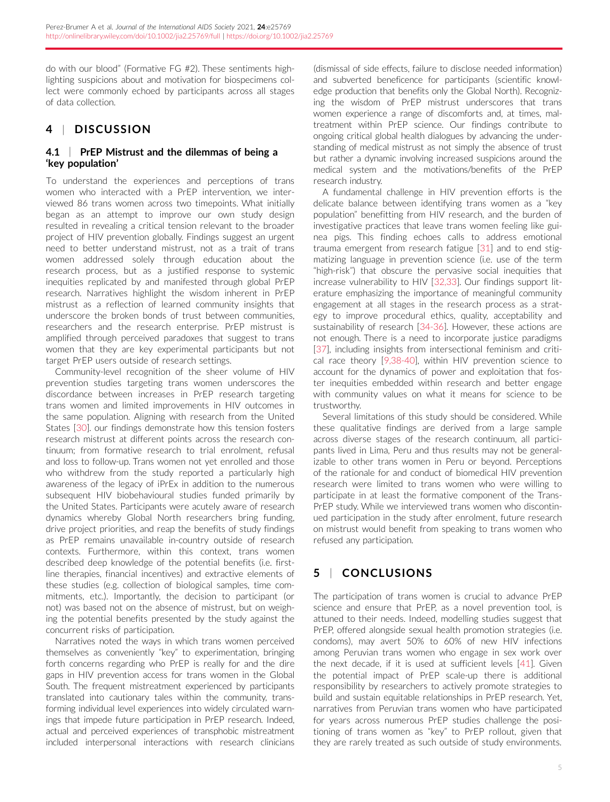do with our blood" (Formative FG #2). These sentiments highlighting suspicions about and motivation for biospecimens collect were commonly echoed by participants across all stages of data collection.

### 4 | DISCUSSION

#### 4.1 | PrEP Mistrust and the dilemmas of being a 'key population'

To understand the experiences and perceptions of trans women who interacted with a PrEP intervention, we interviewed 86 trans women across two timepoints. What initially began as an attempt to improve our own study design resulted in revealing a critical tension relevant to the broader project of HIV prevention globally. Findings suggest an urgent need to better understand mistrust, not as a trait of trans women addressed solely through education about the research process, but as a justified response to systemic inequities replicated by and manifested through global PrEP research. Narratives highlight the wisdom inherent in PrEP mistrust as a reflection of learned community insights that underscore the broken bonds of trust between communities, researchers and the research enterprise. PrEP mistrust is amplified through perceived paradoxes that suggest to trans women that they are key experimental participants but not target PrEP users outside of research settings.

Community-level recognition of the sheer volume of HIV prevention studies targeting trans women underscores the discordance between increases in PrEP research targeting trans women and limited improvements in HIV outcomes in the same population. Aligning with research from the United States [\[30\]](#page-6-0). our findings demonstrate how this tension fosters research mistrust at different points across the research continuum; from formative research to trial enrolment, refusal and loss to follow-up. Trans women not yet enrolled and those who withdrew from the study reported a particularly high awareness of the legacy of iPrEx in addition to the numerous subsequent HIV biobehavioural studies funded primarily by the United States. Participants were acutely aware of research dynamics whereby Global North researchers bring funding, drive project priorities, and reap the benefits of study findings as PrEP remains unavailable in-country outside of research contexts. Furthermore, within this context, trans women described deep knowledge of the potential benefits (i.e. firstline therapies, financial incentives) and extractive elements of these studies (e.g. collection of biological samples, time commitments, etc.). Importantly, the decision to participant (or not) was based not on the absence of mistrust, but on weighing the potential benefits presented by the study against the concurrent risks of participation.

Narratives noted the ways in which trans women perceived themselves as conveniently "key" to experimentation, bringing forth concerns regarding who PrEP is really for and the dire gaps in HIV prevention access for trans women in the Global South. The frequent mistreatment experienced by participants translated into cautionary tales within the community, transforming individual level experiences into widely circulated warnings that impede future participation in PrEP research. Indeed, actual and perceived experiences of transphobic mistreatment included interpersonal interactions with research clinicians

(dismissal of side effects, failure to disclose needed information) and subverted beneficence for participants (scientific knowledge production that benefits only the Global North). Recognizing the wisdom of PrEP mistrust underscores that trans women experience a range of discomforts and, at times, maltreatment within PrEP science. Our findings contribute to ongoing critical global health dialogues by advancing the understanding of medical mistrust as not simply the absence of trust but rather a dynamic involving increased suspicions around the medical system and the motivations/benefits of the PrEP research industry.

A fundamental challenge in HIV prevention efforts is the delicate balance between identifying trans women as a "key population" benefitting from HIV research, and the burden of investigative practices that leave trans women feeling like guinea pigs. This finding echoes calls to address emotional trauma emergent from research fatigue [[31\]](#page-6-0) and to end stigmatizing language in prevention science (i.e. use of the term "high-risk") that obscure the pervasive social inequities that increase vulnerability to HIV [[32,33](#page-6-0)]. Our findings support literature emphasizing the importance of meaningful community engagement at all stages in the research process as a strategy to improve procedural ethics, quality, acceptability and sustainability of research [[34-36](#page-6-0)]. However, these actions are not enough. There is a need to incorporate justice paradigms [[37\]](#page-6-0), including insights from intersectional feminism and critical race theory [[9,38-40](#page-5-0)], within HIV prevention science to account for the dynamics of power and exploitation that foster inequities embedded within research and better engage with community values on what it means for science to be trustworthy.

Several limitations of this study should be considered. While these qualitative findings are derived from a large sample across diverse stages of the research continuum, all participants lived in Lima, Peru and thus results may not be generalizable to other trans women in Peru or beyond. Perceptions of the rationale for and conduct of biomedical HIV prevention research were limited to trans women who were willing to participate in at least the formative component of the Trans-PrEP study. While we interviewed trans women who discontinued participation in the study after enrolment, future research on mistrust would benefit from speaking to trans women who refused any participation.

# 5 | CONCLUSIONS

The participation of trans women is crucial to advance PrEP science and ensure that PrEP, as a novel prevention tool, is attuned to their needs. Indeed, modelling studies suggest that PrEP, offered alongside sexual health promotion strategies (i.e. condoms), may avert 50% to 60% of new HIV infections among Peruvian trans women who engage in sex work over the next decade, if it is used at sufficient levels [[41](#page-6-0)]. Given the potential impact of PrEP scale-up there is additional responsibility by researchers to actively promote strategies to build and sustain equitable relationships in PrEP research. Yet, narratives from Peruvian trans women who have participated for years across numerous PrEP studies challenge the positioning of trans women as "key" to PrEP rollout, given that they are rarely treated as such outside of study environments.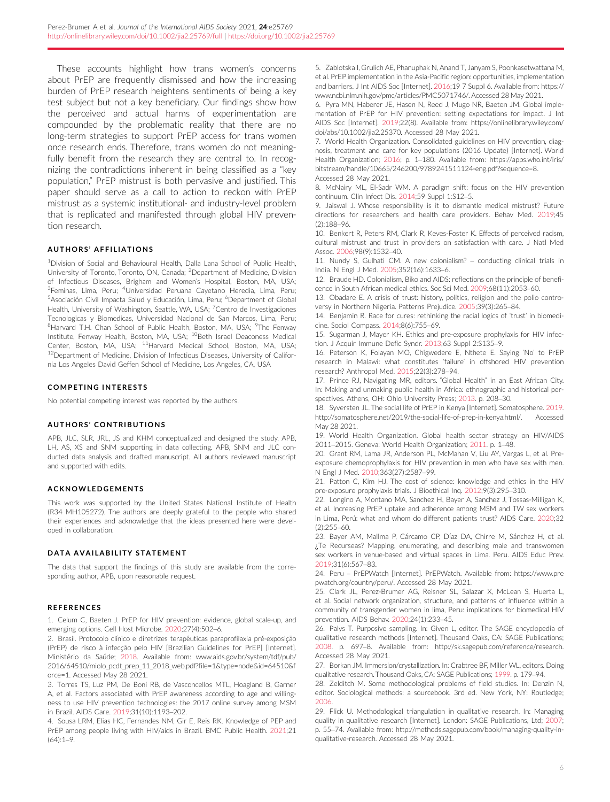<span id="page-5-0"></span>These accounts highlight how trans women's concerns about PrEP are frequently dismissed and how the increasing burden of PrEP research heightens sentiments of being a key test subject but not a key beneficiary. Our findings show how the perceived and actual harms of experimentation are compounded by the problematic reality that there are no long-term strategies to support PrEP access for trans women once research ends. Therefore, trans women do not meaningfully benefit from the research they are central to. In recognizing the contradictions inherent in being classified as a "key population," PrEP mistrust is both pervasive and justified. This paper should serve as a call to action to reckon with PrEP mistrust as a systemic institutional- and industry-level problem that is replicated and manifested through global HIV prevention research.

#### AUTHORS ' AFFILIATIONS

<sup>1</sup>Division of Social and Behavioural Health, Dalla Lana School of Public Health, University of Toronto, Toronto, ON, Canada; <sup>2</sup>Department of Medicine, Division of Infectious Diseases, Brigham and Women's Hospital, Boston, MA, USA; <sup>3</sup> Feminas, Lima, Peru; <sup>4</sup>Universidad Peruana Cayetano Heredia, Lima, Peru; <sup>5</sup> Asociación Civil Impacta Salud y Educación, Lima, Peru; <sup>6</sup> Department of Global Health, University of Washington, Seattle, WA, USA; <sup>7</sup>Centro de Investigaciones Tecnologicas y Biomedicas, Universidad Nacional de San Marcos, Lima, Peru; <sup>8</sup>Harvard T.H. Chan School of Public Health, Boston, MA, USA; <sup>9</sup>The Fenway Institute, Fenway Health, Boston, MA, USA; <sup>10</sup>Beth Israel Deaconess Medical Center, Boston, MA, USA; <sup>11</sup>Harvard Medical School, Boston, MA, USA; <sup>12</sup> Department of Medicine, Division of Infectious Diseases, University of California Los Angeles David Geffen School of Medicine, Los Angeles, CA, USA

#### COMPETING INTERESTS

No potential competing interest was reported by the authors.

#### **AUTHORS' CONTRIBUTIONS**

APB, JLC, SLR, JRL, JS and KHM conceptualized and designed the study. APB, LH, AS, XS and SNM supporting in data collecting. APB, SNM and JLC conducted data analysis and drafted manuscript. All authors reviewed manuscript and supported with edits.

#### ACKNOWLEDGEMENTS

This work was supported by the United States National Institute of Health (R34 MH105272). The authors are deeply grateful to the people who shared their experiences and acknowledge that the ideas presented here were developed in collaboration.

#### DATA AVAILABILITY STATEMENT

The data that support the findings of this study are available from the corresponding author, APB, upon reasonable request.

#### **REFERENCES**

1. Celum C, Baeten J. PrEP for HIV prevention: evidence, global scale-up, and emerging options. Cell Host Microbe. 2020;27(4):502–6.

2. Brasil. Protocolo clínico e diretrizes terapêuticas paraprofilaxia pré-exposição (PrEP) de risco à infecção pelo HIV [Brazilian Guidelines for PrEP] [Internet]. Ministério da Saúde; 2018. Available from: [www.aids.gov.br/system/tdf/pub/](http://www.aids.gov.br/system/tdf/pub/2016/64510/miolo_pcdt_prep_11_2018_web.pdf?file=1&type=node&id=64510&force=1) [2016/64510/miolo\\_pcdt\\_prep\\_11\\_2018\\_web.pdf?file=1&type=node&id=64510&f](http://www.aids.gov.br/system/tdf/pub/2016/64510/miolo_pcdt_prep_11_2018_web.pdf?file=1&type=node&id=64510&force=1) [orce=1.](http://www.aids.gov.br/system/tdf/pub/2016/64510/miolo_pcdt_prep_11_2018_web.pdf?file=1&type=node&id=64510&force=1) Accessed May 28 2021.

3. Torres TS, Luz PM, De Boni RB, de Vasconcellos MTL, Hoagland B, Garner A, et al. Factors associated with PrEP awareness according to age and willingness to use HIV prevention technologies: the 2017 online survey among MSM in Brazil. AIDS Care. 2019;31(10):1193–202.

4. Sousa LRM, Elias HC, Fernandes NM, Gir E, Reis RK. Knowledge of PEP and PrEP among people living with HIV/aids in Brazil. BMC Public Health. 2021;21  $(64):1-9.$ 

5. Zablotska I, Grulich AE, Phanuphak N, Anand T, Janyam S, Poonkasetwattana M, et al. PrEP implementation in the Asia-Pacific region: opportunities, implementation and barriers. J Int AIDS Soc [Internet]. 2016;19 7 Suppl 6. Available from: [https://](https://www.ncbi.nlm.nih.gov/pmc/articles/PMC5071746/) [www.ncbi.nlm.nih.gov/pmc/articles/PMC5071746/.](https://www.ncbi.nlm.nih.gov/pmc/articles/PMC5071746/) Accessed 28 May 2021.

6. Pyra MN, Haberer JE, Hasen N, Reed J, Mugo NR, Baeten JM. Global implementation of PrEP for HIV prevention: setting expectations for impact. J Int AIDS Soc [Internet]. 2019;22(8). Available from: [https://onlinelibrary.wiley.com/](https://onlinelibrary.wiley.com/doi/abs/10.1002/jia2.25370) [doi/abs/10.1002/jia2.25370.](https://onlinelibrary.wiley.com/doi/abs/10.1002/jia2.25370) Accessed 28 May 2021.

7. World Health Organization. Consolidated guidelines on HIV prevention, diagnosis, treatment and care for key populations (2016 Update) [Internet]. World Health Organization; 2016; p. 1–180. Available from: [https://apps.who.int/iris/](https://apps.who.int/iris/bitstream/handle/10665/246200/9789241511124-eng.pdf?sequence=8) [bitstream/handle/10665/246200/9789241511124-eng.pdf?sequence=8](https://apps.who.int/iris/bitstream/handle/10665/246200/9789241511124-eng.pdf?sequence=8). Accessed 28 May 2021.

8. McNairy ML, El-Sadr WM. A paradigm shift: focus on the HIV prevention continuum. Clin Infect Dis. 2014;59 Suppl 1:S12–5.

9. Jaiswal J. Whose responsibility is it to dismantle medical mistrust? Future directions for researchers and health care providers. Behav Med. 2019;45 (2):188–96.

10. Benkert R, Peters RM, Clark R, Keves-Foster K. Effects of perceived racism, cultural mistrust and trust in providers on satisfaction with care. J Natl Med Assoc. 2006;98(9):1532–40.

11. Nundy S, Gulhati CM. A new colonialism? – conducting clinical trials in India. N Engl J Med. 2005;352(16):1633–6.

12. Braude HD. Colonialism, Biko and AIDS: reflections on the principle of beneficence in South African medical ethics. Soc Sci Med. 2009;68(11):2053–60.

13. Obadare E. A crisis of trust: history, politics, religion and the polio controversy in Northern Nigeria. Patterns Prejudice. 2005;39(3):265–84.

14. Benjamin R. Race for cures: rethinking the racial logics of 'trust' in biomedicine. Sociol Compass. 2014;8(6):755–69.

15. Sugarman J, Mayer KH. Ethics and pre-exposure prophylaxis for HIV infection. J Acquir Immune Defic Syndr. 2013;63 Suppl 2:S135–9.

16. Peterson K, Folayan MO, Chigwedere E, Nthete E. Saying 'No' to PrEP research in Malawi: what constitutes 'failure' in offshored HIV prevention research? Anthropol Med. 2015;22(3):278–94.

17. Prince RJ, Navigating MR, editors. "Global Health" in an East African City. In: Making and unmaking public health in Africa: ethnographic and historical perspectives. Athens, OH: Ohio University Press; 2013. p. 208–30.

18. Syversten JL. The social life of PrEP in Kenya [Internet]. Somatosphere. 2019. [http://somatosphere.net/2019/the-social-life-of-prep-in-kenya.html/.](http://somatosphere.net/2019/the-social-life-of-prep-in-kenya.html/) Accessed May 28 2021.

19. World Health Organization. Global health sector strategy on HIV/AIDS 2011–2015. Geneva: World Health Organization; 2011. p. 1–48.

20. Grant RM, Lama JR, Anderson PL, McMahan V, Liu AY, Vargas L, et al. Preexposure chemoprophylaxis for HIV prevention in men who have sex with men. N Engl J Med. 2010;363(27):2587–99.

21. Patton C, Kim HJ. The cost of science: knowledge and ethics in the HIV pre-exposure prophylaxis trials. J Bioethical Inq. 2012;9(3):295–310.

22. Longino A, Montano MA, Sanchez H, Bayer A, Sanchez J, Tossas-Milligan K, et al. Increasing PrEP uptake and adherence among MSM and TW sex workers in Lima, Perú: what and whom do different patients trust? AIDS Care. 2020;32 (2):255–60.

23. Bayer AM, Mallma P, Cárcamo CP, Díaz DA, Chirre M, Sánchez H, et al ¿Te Recurseas? Mapping, enumerating, and describing male and transwomen sex workers in venue-based and virtual spaces in Lima. Peru. AIDS Educ Prev. 2019;31(6):567–83.

24. Peru – PrEPWatch [Internet]. PrEPWatch. Available from: [https://www.pre](https://www.prepwatch.org/country/peru/) [pwatch.org/country/peru/](https://www.prepwatch.org/country/peru/). Accessed 28 May 2021.

25. Clark JL, Perez-Brumer AG, Reisner SL, Salazar X, McLean S, Huerta L, et al. Social network organization, structure, and patterns of influence within a community of transgender women in lima, Peru: implications for biomedical HIV prevention. AIDS Behav. 2020;24(1):233–45.

26. Palys T. Purposive sampling. In: Given L, editor. The SAGE encyclopedia of qualitative research methods [Internet]. Thousand Oaks, CA: SAGE Publications; 2008. p. 697–8. Available from:<http://sk.sagepub.com/reference/research>. Accessed 28 May 2021.

27. Borkan JM. Immersion/crystallization. In: Crabtree BF, Miller WL, editors. Doing qualitative research. Thousand Oaks, CA: SAGE Publications; 1999. p. 179–94.

28. Zelditch M. Some methodological problems of field studies. In: Denzin N, editor. Sociological methods: a sourcebook. 3rd ed. New York, NY: Routledge; 2006.

29. Flick U. Methodological triangulation in qualitative research. In: Managing quality in qualitative research [Internet]. London: SAGE Publications, Ltd; 2007; p. 55–74. Available from: [http://methods.sagepub.com/book/managing-quality-in](http://methods.sagepub.com/book/managing-quality-in-qualitative-research)[qualitative-research.](http://methods.sagepub.com/book/managing-quality-in-qualitative-research) Accessed 28 May 2021.